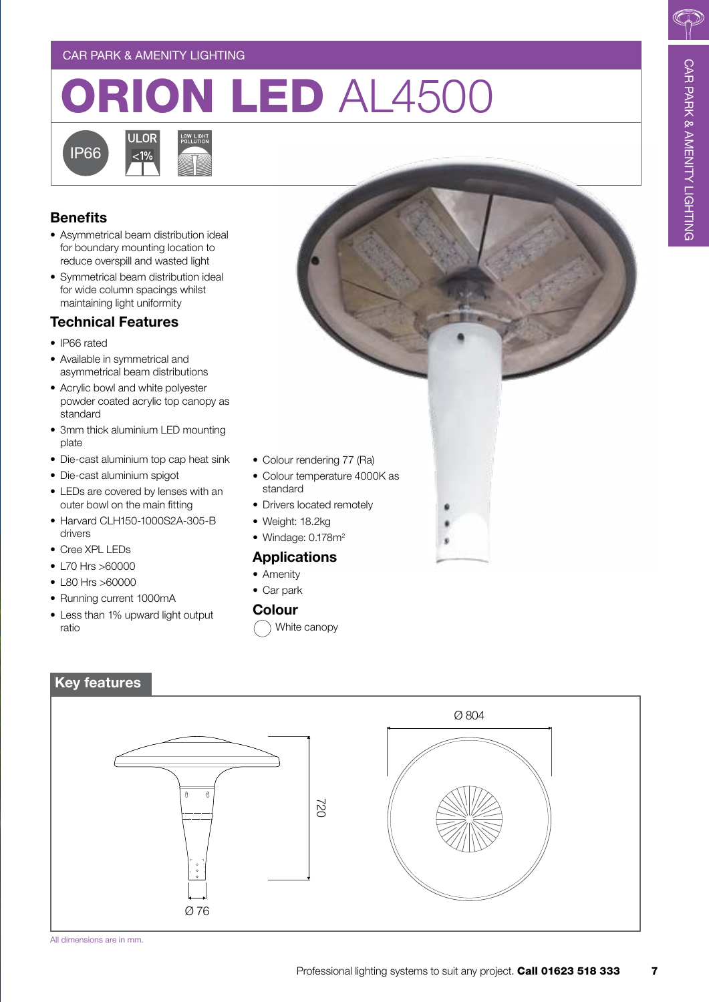# CAR PARK & AMENITY LIGHTING CAR PARK & AMENITY LIGHTING

## CAR PARK & AMENITY LIGHTING

## ORION LED AL4500



## **Benefits**

- Asymmetrical beam distribution ideal for boundary mounting location to reduce overspill and wasted light
- Symmetrical beam distribution ideal for wide column spacings whilst maintaining light uniformity

## **Technical Features**

- IP66 rated
- Available in symmetrical and asymmetrical beam distributions
- Acrylic bowl and white polyester powder coated acrylic top canopy as standard
- 3mm thick aluminium LED mounting plate
- Die-cast aluminium top cap heat sink
- Die-cast aluminium spigot
- LEDs are covered by lenses with an outer bowl on the main fitting
- Harvard CLH150-1000S2A-305-B drivers
- Cree XPL LEDs
- L70 Hrs >60000
- L80 Hrs >60000

**Key features**

- Running current 1000mA
- Less than 1% upward light output ratio



- Colour temperature 4000K as standard
- Drivers located remotely
- Weight: 18.2kg
- Windage: 0.178m<sup>2</sup>

### **Applications**

- Car park
- White canopy



All dimensions are in mm.

## Professional lighting systems to suit any project. Call 01623 518 333 7

- 
- 
- 
- 

- Amenity
- 
- -

## **Colour**

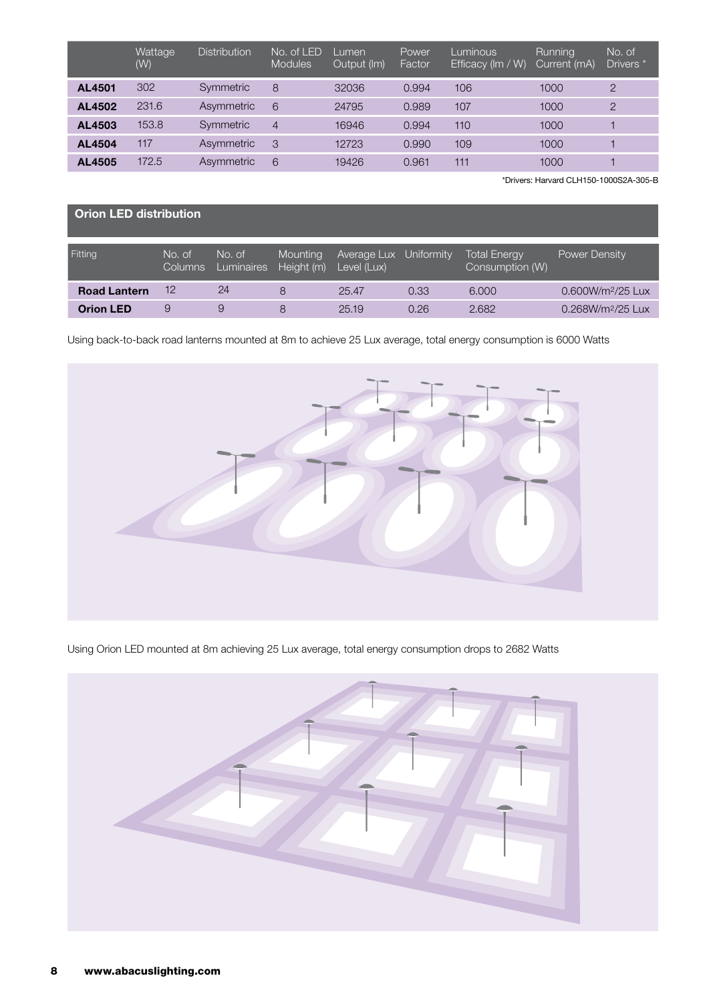|        | Wattage<br>(W) | <b>Distribution</b> | No. of LED<br><b>Modules</b> | Lumen<br>Output (Im) | Power<br>Factor | Luminous<br>Efficacy (Im / W) | Running<br>Current (mA) | No. of<br>Drivers <sup>*</sup> |
|--------|----------------|---------------------|------------------------------|----------------------|-----------------|-------------------------------|-------------------------|--------------------------------|
| AL4501 | 302            | Symmetric           | 8                            | 32036                | 0.994           | 106                           | 1000                    | $\overline{2}$                 |
| AL4502 | 231.6          | Asymmetric          | 6                            | 24795                | 0.989           | 107                           | 1000                    | 2                              |
| AL4503 | 153.8          | Symmetric           | $\overline{4}$               | 16946                | 0.994           | 110                           | 1000                    |                                |
| AL4504 | 117            | Asymmetric          | 3                            | 12723                | 0.990           | 109                           | 1000                    |                                |
| AL4505 | 172.5          | Asymmetric          | 6                            | 19426                | 0.961           | 111                           | 1000                    |                                |

\*Drivers: Harvard CLH150-1000S2A-305-B

## **Orion LED distribution**

| Fitting             | No. of<br>Columns | No. of<br>Luminaires Height (m) | <b>Mounting</b> | Average Lux Uniformity<br>Level (Lux) |      | <b>Total Energy</b><br>Consumption (W) | <b>Power Density</b>          |
|---------------------|-------------------|---------------------------------|-----------------|---------------------------------------|------|----------------------------------------|-------------------------------|
| <b>Road Lantern</b> |                   | 24                              |                 | 25.47                                 | 0.33 | 6.000                                  | 0.600W/m <sup>2</sup> /25 Lux |
| <b>Orion LED</b>    | 9                 |                                 | 8               | 25.19                                 | 0.26 | 2.682                                  | 0.268W/m <sup>2</sup> /25 Lux |

Using back-to-back road lanterns mounted at 8m to achieve 25 Lux average, total energy consumption is 6000 Watts



Using Orion LED mounted at 8m achieving 25 Lux average, total energy consumption drops to 2682 Watts